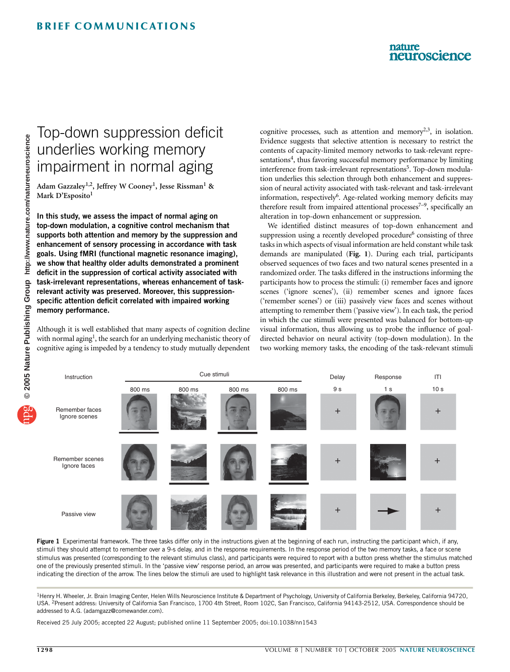## nature neuroscience

## Top-down suppression deficit underlies working memory impairment in normal aging

Adam Gazzaley<sup>1,2</sup>, Jeffrey W Cooney<sup>1</sup>, Jesse Rissman<sup>1</sup> & Mark D'Esposito<sup>1</sup>

In this study, we assess the impact of normal aging on top-down modulation, a cognitive control mechanism that supports both attention and memory by the suppression and enhancement of sensory processing in accordance with task goals. Using fMRI (functional magnetic resonance imaging), we show that healthy older adults demonstrated a prominent deficit in the suppression of cortical activity associated with task-irrelevant representations, whereas enhancement of taskrelevant activity was preserved. Moreover, this suppressionspecific attention deficit correlated with impaired working memory performance.

Although it is well established that many aspects of cognition decline with normal aging<sup>1</sup>, the search for an underlying mechanistic theory of cognitive aging is impeded by a tendency to study mutually dependent cognitive processes, such as attention and memory<sup>2,3</sup>, in isolation. Evidence suggests that selective attention is necessary to restrict the contents of capacity-limited memory networks to task-relevant representations<sup>4</sup>, thus favoring successful memory performance by limiting interference from task-irrelevant representations<sup>5</sup>. Top-down modulation underlies this selection through both enhancement and suppression of neural activity associated with task-relevant and task-irrelevant information, respectively<sup>6</sup>. Age-related working memory deficits may therefore result from impaired attentional processes<sup> $7-9$ </sup>, specifically an alteration in top-down enhancement or suppression.

We identified distinct measures of top-down enhancement and suppression using a recently developed procedure<sup>6</sup> consisting of three tasks in which aspects of visual information are held constant while task demands are manipulated (Fig. 1). During each trial, participants observed sequences of two faces and two natural scenes presented in a randomized order. The tasks differed in the instructions informing the participants how to process the stimuli: (i) remember faces and ignore scenes ('ignore scenes'), (ii) remember scenes and ignore faces ('remember scenes') or (iii) passively view faces and scenes without attempting to remember them ('passive view'). In each task, the period in which the cue stimuli were presented was balanced for bottom-up visual information, thus allowing us to probe the influence of goaldirected behavior on neural activity (top-down modulation). In the two working memory tasks, the encoding of the task-relevant stimuli



Figure 1 Experimental framework. The three tasks differ only in the instructions given at the beginning of each run, instructing the participant which, if any, stimuli they should attempt to remember over a 9-s delay, and in the response requirements. In the response period of the two memory tasks, a face or scene stimulus was presented (corresponding to the relevant stimulus class), and participants were required to report with a button press whether the stimulus matched one of the previously presented stimuli. In the 'passive view' response period, an arrow was presented, and participants were required to make a button press indicating the direction of the arrow. The lines below the stimuli are used to highlight task relevance in this illustration and were not present in the actual task.

<sup>1</sup> Henry H. Wheeler, Jr. Brain Imaging Center, Helen Wills Neuroscience Institute & Department of Psychology, University of California Berkeley, Berkeley, California 94720, USA. <sup>2</sup>Present address: University of California San Francisco, 1700 4th Street, Room 102C, San Francisco, California 94143-2512, USA. Correspondence should be addressed to A.G. (adamgazz@comewander.com).

Received 25 July 2005; accepted 22 August; published online 11 September 2005; doi:10.1038/nn1543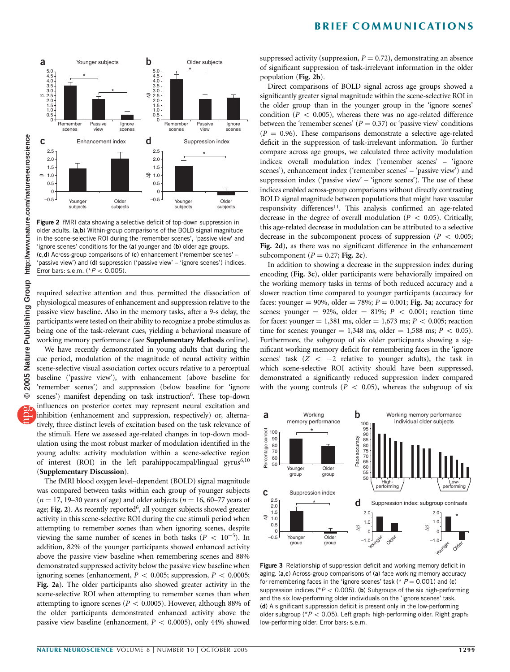



Figure 2 fMRI data showing a selective deficit of top-down suppression in older adults. (a,b) Within-group comparisons of the BOLD signal magnitude in the scene-selective ROI during the 'remember scenes', 'passive view' and 'ignore scenes' conditions for the (a) younger and (b) older age groups. (c,d) Across-group comparisons of (c) enhancement ('remember scenes' – 'passive view') and (d) suppression ('passive view' - 'ignore scenes') indices. Error bars: s.e.m. (\* $P < 0.005$ ).

required selective attention and thus permitted the dissociation of physiological measures of enhancement and suppression relative to the passive view baseline. Also in the memory tasks, after a 9-s delay, the participants were tested on their ability to recognize a probe stimulus as being one of the task-relevant cues, yielding a behavioral measure of working memory performance (see Supplementary Methods online).

We have recently demonstrated in young adults that during the cue period, modulation of the magnitude of neural activity within scene-selective visual association cortex occurs relative to a perceptual baseline ('passive view'), with enhancement (above baseline for 'remember scenes') and suppression (below baseline for 'ignore scenes') manifest depending on task instruction<sup>6</sup>. These top-down influences on posterior cortex may represent neural excitation and inhibition (enhancement and suppression, respectively) or, alternatively, three distinct levels of excitation based on the task relevance of the stimuli. Here we assessed age-related changes in top-down modulation using the most robust marker of modulation identified in the young adults: activity modulation within a scene-selective region of interest (ROI) in the left parahippocampal/lingual gyrus<sup>6,10</sup> (Supplementary Discussion).

The fMRI blood oxygen level–dependent (BOLD) signal magnitude was compared between tasks within each group of younger subjects  $(n = 17, 19-30$  years of age) and older subjects  $(n = 16, 60-77)$  years of age; Fig. 2). As recently reported<sup>6</sup>, all younger subjects showed greater activity in this scene-selective ROI during the cue stimuli period when attempting to remember scenes than when ignoring scenes, despite viewing the same number of scenes in both tasks ( $P < 10^{-5}$ ). In addition, 82% of the younger participants showed enhanced activity above the passive view baseline when remembering scenes and 88% demonstrated suppressed activity below the passive view baseline when ignoring scenes (enhancement,  $P < 0.005$ ; suppression,  $P < 0.0005$ ; Fig. 2a). The older participants also showed greater activity in the scene-selective ROI when attempting to remember scenes than when attempting to ignore scenes ( $P < 0.0005$ ). However, although 88% of the older participants demonstrated enhanced activity above the passive view baseline (enhancement,  $P < 0.0005$ ), only 44% showed

suppressed activity (suppression,  $P = 0.72$ ), demonstrating an absence of significant suppression of task-irrelevant information in the older population (Fig. 2b).

Direct comparisons of BOLD signal across age groups showed a significantly greater signal magnitude within the scene-selective ROI in the older group than in the younger group in the 'ignore scenes' condition ( $P < 0.005$ ), whereas there was no age-related difference between the 'remember scenes' ( $P = 0.37$ ) or 'passive view' conditions  $(P = 0.96)$ . These comparisons demonstrate a selective age-related deficit in the suppression of task-irrelevant information. To further compare across age groups, we calculated three activity modulation indices: overall modulation index ('remember scenes' – 'ignore scenes'), enhancement index ('remember scenes' - 'passive view') and suppression index ('passive view' – 'ignore scenes'). The use of these indices enabled across-group comparisons without directly contrasting BOLD signal magnitude between populations that might have vascular responsivity differences<sup>11</sup>. This analysis confirmed an age-related decrease in the degree of overall modulation ( $P < 0.05$ ). Critically, this age-related decrease in modulation can be attributed to a selective decrease in the subcomponent process of suppression ( $P < 0.005$ ; Fig. 2d), as there was no significant difference in the enhancement subcomponent ( $P = 0.27$ ; Fig. 2c).

In addition to showing a decrease in the suppression index during encoding (Fig. 3c), older participants were behaviorally impaired on the working memory tasks in terms of both reduced accuracy and a slower reaction time compared to younger participants (accuracy for faces: younger = 90%, older = 78%;  $P = 0.001$ ; Fig. 3a; accuracy for scenes: younger = 92%, older = 81%;  $P < 0.001$ ; reaction time for faces: younger = 1,381 ms, older = 1,673 ms;  $P < 0.005$ ; reaction time for scenes: younger = 1,348 ms, older = 1,588 ms;  $P < 0.05$ ). Furthermore, the subgroup of six older participants showing a significant working memory deficit for remembering faces in the 'ignore scenes' task  $(Z < -2$  relative to younger adults), the task in which scene-selective ROI activity should have been suppressed, demonstrated a significantly reduced suppression index compared with the young controls ( $P < 0.05$ ), whereas the subgroup of six



Figure 3 Relationship of suppression deficit and working memory deficit in aging. (a,c) Across-group comparisons of (a) face working memory accuracy for remembering faces in the 'ignore scenes' task (\*  $P = 0.001$ ) and (c) suppression indices ( $P < 0.005$ ). (b) Subgroups of the six high-performing and the six low-performing older individuals on the 'ignore scenes' task. (d) A significant suppression deficit is present only in the low-performing older subgroup ( $*P < 0.05$ ). Left graph: high-performing older. Right graph: low-performing older. Error bars: s.e.m.